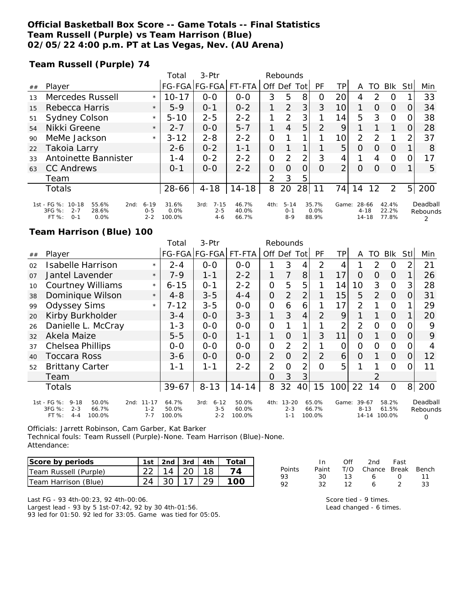## **Official Basketball Box Score -- Game Totals -- Final Statistics Team Russell (Purple) vs Team Harrison (Blue) 02/05/22 4:00 p.m. PT at Las Vegas, Nev. (AU Arena)**

**Team Russell (Purple) 74**

|     |                                                                                            |                                | Total                   | 3-Ptr                                  | Rebounds                |               |                                |                |                        |                |                            |               |                         |                |                      |
|-----|--------------------------------------------------------------------------------------------|--------------------------------|-------------------------|----------------------------------------|-------------------------|---------------|--------------------------------|----------------|------------------------|----------------|----------------------------|---------------|-------------------------|----------------|----------------------|
| ##  | Player                                                                                     |                                | <b>FG-FGA</b>           | FG-FGA                                 | FT-FTA                  | Off Def       |                                | Tot            | PF                     | ΤP             | Α                          | TO            | <b>BIK</b>              | Stll           | Min                  |
| 1.3 | Mercedes Russell                                                                           | $\star$                        | $10 - 17$               | $0 - 0$                                | $O - O$                 | 3             | 5                              | 8              | 0                      | 20             | 4                          | $\mathcal{P}$ | $\Omega$                |                | 33                   |
| 15  | Rebecca Harris                                                                             | $\star$                        | $5-9$                   | $0 - 1$                                | $0 - 2$                 | 1             | $\overline{2}$                 | 3              | 3                      | 10             |                            | $\Omega$      | $\Omega$                | 0              | 34                   |
| 51  | Sydney Colson                                                                              | $\star$                        | $5 - 10$                | $2 - 5$                                | $2 - 2$                 | 1             | 2                              | 3              |                        | 14             | 5                          | 3             | $\Omega$                | 0              | 38                   |
| 54  | Nikki Greene                                                                               | $\star$                        | $2 - 7$                 | $O-O$                                  | $5 - 7$                 |               | 4                              | 5              | 2                      | 9              |                            |               |                         | O              | 28                   |
| 90  | MeMe Jackson                                                                               | $\star$                        | $3 - 12$                | $2 - 8$                                | $2 - 2$                 | 0             |                                |                |                        | 10             | 2                          | 2             |                         | 2              | 37                   |
| 22  | Takoia Larry                                                                               |                                | $2 - 6$                 | $0 - 2$                                | $1 - 1$                 | 0             |                                |                |                        | 5              | O                          | $\Omega$      | $\Omega$                |                | 8                    |
| 33  | Antoinette Bannister                                                                       |                                | $1 - 4$                 | $0 - 2$                                | $2 - 2$                 | 0             | 2                              | 2              | 3                      | 4              |                            | 4             | $\circ$                 | 0              | 17                   |
| 63  | <b>CC Andrews</b>                                                                          |                                | $0 - 1$                 | $0 - 0$                                | $2 - 2$                 | 0             | $\Omega$                       | $\overline{O}$ | $\Omega$               | $\overline{2}$ | $\Omega$                   | $\Omega$      | $\Omega$                |                | 5                    |
|     | Team                                                                                       |                                |                         |                                        |                         | $\mathcal{P}$ | 3                              | 5              |                        |                |                            |               |                         |                |                      |
|     | <b>Totals</b>                                                                              |                                | 28-66                   | $4 - 18$                               | $14 - 18$               | 8             | 20                             | 28             | 11                     | 74             | 14                         | 12            | 2                       | 5 <sup>1</sup> | 200                  |
|     | 1st - FG %: 10-18<br>55.6%<br>2nd:<br>3FG %:<br>28.6%<br>$2 - 7$<br>FT%<br>0.0%<br>$0 - 1$ | $6 - 19$<br>$0 - 5$<br>$2 - 2$ | 31.6%<br>0.0%<br>100.0% | $7 - 15$<br>3rd:<br>$2 - 5$<br>$4 - 6$ | 46.7%<br>40.0%<br>66.7% | 4th:          | $5 - 14$<br>$0 - 1$<br>$8 - 9$ |                | 35.7%<br>0.0%<br>88.9% | Game:          | 28-66<br>$4 - 18$<br>14-18 |               | 42.4%<br>22.2%<br>77.8% |                | Deadball<br>Rebounds |

### **Team Harrison (Blue) 100**

|                |                                                                                            |                                         | Total                    | 3-Ptr                                  | Rebounds                 |                |                                 |                 |                          |                |                                  |    |                          |      |                           |
|----------------|--------------------------------------------------------------------------------------------|-----------------------------------------|--------------------------|----------------------------------------|--------------------------|----------------|---------------------------------|-----------------|--------------------------|----------------|----------------------------------|----|--------------------------|------|---------------------------|
| ##             | Player                                                                                     |                                         |                          | FG-FGA FG-FGA                          | FT-FTA                   |                | Off Def                         | Totl            | PF                       | TР             | A                                | TO | <b>BIK</b>               | Stll | Min                       |
| 02             | <b>Isabelle Harrison</b>                                                                   | $\star$                                 | $2 - 4$                  | $0 - 0$                                | $0 - 0$                  |                | 3                               | 4               | 2                        | 4              |                                  | 2  | $\Omega$                 | 2    | 21                        |
| O <sub>7</sub> | Jantel Lavender                                                                            | $\star$                                 | $7-9$                    | $1 - 1$                                | $2 - 2$                  |                | 7                               | 8               | 1                        | 17             | $\circ$                          | O  | $\Omega$                 |      | 26                        |
| 10             | <b>Courtney Williams</b>                                                                   | $\star$                                 | $6 - 15$                 | $0 - 1$                                | $2 - 2$                  | 0              | 5                               | 5               |                          | 14             | 10                               | 3  | $\Omega$                 | 3    | 28                        |
| 38             | Dominique Wilson                                                                           | $\star$                                 | $4 - 8$                  | $3 - 5$                                | $4 - 4$                  | $\overline{O}$ | $\overline{2}$                  | $\overline{2}$  |                          | 15             | 5                                | 2  | $\Omega$                 | 0    | 31                        |
| 99             | <b>Odyssey Sims</b>                                                                        | $\star$                                 | $7 - 12$                 | $3 - 5$                                | $0-0$                    | $\mathbf{O}$   | 6                               | 6               |                          | 17             | $\overline{2}$                   |    | $\Omega$                 |      | 29                        |
| 20             | Kirby Burkholder                                                                           |                                         | $3 - 4$                  | $0 - 0$                                | $3 - 3$                  | 1              | 3                               | 4               | $\mathcal{P}$            | 9              |                                  |    | $\Omega$                 |      | 20                        |
| 26             | Danielle L. McCray                                                                         |                                         | $1 - 3$                  | $0 - 0$                                | $0-0$                    | $\overline{O}$ |                                 | 1               |                          | $\overline{2}$ | $\overline{2}$                   | Ο  | $\overline{O}$           |      | 9                         |
| 32             | Akela Maize                                                                                |                                         | $5 - 5$                  | $O-O$                                  | $1 - 1$                  | 1              | $\overline{0}$                  | 1               | 3                        | 11             | 0                                |    | $\Omega$                 | 0    | 9                         |
| 37             | Chelsea Phillips                                                                           |                                         | $0 - 0$                  | $0 - 0$                                | $0 - 0$                  | 0              | 2                               | 2               |                          | 0              | 0                                | O  | $\overline{O}$           | O    | 4                         |
| 40             | <b>Toccara Ross</b>                                                                        |                                         | $3-6$                    | $0 - 0$                                | $0 - 0$                  | 2              | $\Omega$                        | $\overline{2}$  | $\overline{2}$           | 6              | $\Omega$                         | 1. | $\Omega$                 | 0    | 12                        |
| 52             | <b>Brittany Carter</b>                                                                     |                                         | 1-1                      | $1 - 1$                                | $2 - 2$                  | 2              | $\Omega$                        | 2               | Ω                        | 5              |                                  |    | $\Omega$                 | ∩    | 11                        |
|                | Team                                                                                       |                                         |                          |                                        |                          | $\Omega$       | 3                               | 3               |                          |                |                                  |    |                          |      |                           |
|                | Totals                                                                                     |                                         | $39 - 67$                | $8 - 13$                               | $14 - 14$                | 8              | 32                              | 40 <sub>1</sub> | 15                       | 100            | 22                               | 14 | $\Omega$                 | 8    | 200                       |
|                | 1st - FG %:<br>50.0%<br>$9 - 18$<br>3FG %:<br>$2 - 3$<br>66.7%<br>FT%<br>100.0%<br>$4 - 4$ | $11 - 17$<br>2nd:<br>$1 - 2$<br>$7 - 7$ | 64.7%<br>50.0%<br>100.0% | $6 - 12$<br>3rd:<br>$3 - 5$<br>$2 - 2$ | 50.0%<br>60.0%<br>100.0% | 4th:           | $13 - 20$<br>$2 - 3$<br>$1 - 1$ |                 | 65.0%<br>66.7%<br>100.0% | Game:          | $39-67$<br>$8 - 13$<br>$14 - 14$ |    | 58.2%<br>61.5%<br>100.0% |      | Deadball<br>Rebounds<br>O |

Officials: Jarrett Robinson, Cam Garber, Kat Barker

Technical fouls: Team Russell (Purple)-None. Team Harrison (Blue)-None. Attendance:

| Score by periods      |                              |  | 1st   2nd   3rd   4th   Total |
|-----------------------|------------------------------|--|-------------------------------|
| Team Russell (Purple) | $22 \mid 14 \mid 20 \mid 18$ |  |                               |
| Team Harrison (Blue)  | 24   30   17   29            |  | 100.                          |

|        | In.   | Off | 2nd                    | Fast          |    |
|--------|-------|-----|------------------------|---------------|----|
| Points | Paint |     | T/O Chance Break Bench |               |    |
| 93     | 30.   | 13  | 6.                     | $\Omega$      | 11 |
| 9つ     | 32.   | 12  | 6                      | $\mathcal{L}$ | 33 |
|        |       |     |                        |               |    |

Last FG - 93 4th-00:23, 92 4th-00:06.

Largest lead - 93 by 5 1st-07:42, 92 by 30 4th-01:56. 93 led for 01:50. 92 led for 33:05. Game was tied for 05:05. Score tied - 9 times. Lead changed - 6 times.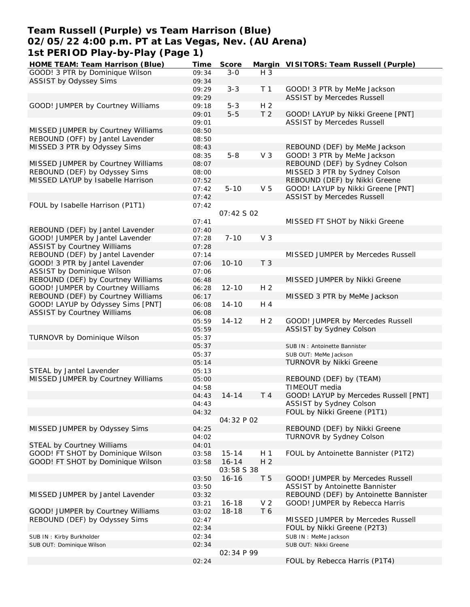## **Team Russell (Purple) vs Team Harrison (Blue) 02/05/22 4:00 p.m. PT at Las Vegas, Nev. (AU Arena) 1st PERIOD Play-by-Play (Page 1)**

| HOME TEAM: Team Harrison (Blue)    | Time           | Score             |                | Margin VISITORS: Team Russell (Purple) |
|------------------------------------|----------------|-------------------|----------------|----------------------------------------|
| GOOD! 3 PTR by Dominique Wilson    | 09:34          | $3 - 0$           | H 3            |                                        |
| ASSIST by Odyssey Sims             | 09:34          |                   |                |                                        |
|                                    | 09:29          | $3 - 3$           | T <sub>1</sub> | GOOD! 3 PTR by MeMe Jackson            |
|                                    | 09:29          |                   |                | <b>ASSIST by Mercedes Russell</b>      |
| GOOD! JUMPER by Courtney Williams  | 09:18          | $5 - 3$           | H <sub>2</sub> |                                        |
|                                    | 09:01          | $5-5$             | T <sub>2</sub> | GOOD! LAYUP by Nikki Greene [PNT]      |
|                                    | 09:01          |                   |                | <b>ASSIST by Mercedes Russell</b>      |
| MISSED JUMPER by Courtney Williams | 08:50          |                   |                |                                        |
| REBOUND (OFF) by Jantel Lavender   | 08:50          |                   |                |                                        |
|                                    |                |                   |                |                                        |
| MISSED 3 PTR by Odyssey Sims       | 08:43          |                   | V <sub>3</sub> | REBOUND (DEF) by MeMe Jackson          |
|                                    | 08:35          | $5 - 8$           |                | GOOD! 3 PTR by MeMe Jackson            |
| MISSED JUMPER by Courtney Williams | 08:07          |                   |                | REBOUND (DEF) by Sydney Colson         |
| REBOUND (DEF) by Odyssey Sims      | 08:00          |                   |                | MISSED 3 PTR by Sydney Colson          |
| MISSED LAYUP by Isabelle Harrison  | 07:52          |                   |                | REBOUND (DEF) by Nikki Greene          |
|                                    | 07:42          | $5 - 10$          | V <sub>5</sub> | GOOD! LAYUP by Nikki Greene [PNT]      |
|                                    | 07:42          |                   |                | <b>ASSIST by Mercedes Russell</b>      |
| FOUL by Isabelle Harrison (P1T1)   | 07:42          |                   |                |                                        |
|                                    |                | 07:42 S 02        |                |                                        |
|                                    | 07:41          |                   |                | MISSED FT SHOT by Nikki Greene         |
| REBOUND (DEF) by Jantel Lavender   | 07:40          |                   |                |                                        |
| GOOD! JUMPER by Jantel Lavender    | 07:28          | $7 - 10$          | V <sub>3</sub> |                                        |
| <b>ASSIST by Courtney Williams</b> | 07:28          |                   |                |                                        |
| REBOUND (DEF) by Jantel Lavender   | 07:14          |                   |                | MISSED JUMPER by Mercedes Russell      |
| GOOD! 3 PTR by Jantel Lavender     | 07:06          | $10 - 10$         | T <sub>3</sub> |                                        |
| ASSIST by Dominique Wilson         | 07:06          |                   |                |                                        |
| REBOUND (DEF) by Courtney Williams | 06:48          |                   |                | MISSED JUMPER by Nikki Greene          |
| GOOD! JUMPER by Courtney Williams  | 06:28          | $12 - 10$         | H <sub>2</sub> |                                        |
| REBOUND (DEF) by Courtney Williams | 06:17          |                   |                | MISSED 3 PTR by MeMe Jackson           |
| GOOD! LAYUP by Odyssey Sims [PNT]  |                | $14 - 10$         | H 4            |                                        |
|                                    | 06:08          |                   |                |                                        |
| <b>ASSIST by Courtney Williams</b> | 06:08          |                   |                |                                        |
|                                    | 05:59          | $14 - 12$         | H <sub>2</sub> | GOOD! JUMPER by Mercedes Russell       |
|                                    | 05:59          |                   |                | ASSIST by Sydney Colson                |
| TURNOVR by Dominique Wilson        | 05:37          |                   |                |                                        |
|                                    | 05:37          |                   |                | SUB IN: Antoinette Bannister           |
|                                    | 05:37          |                   |                | SUB OUT: MeMe Jackson                  |
|                                    | 05:14          |                   |                | <b>TURNOVR by Nikki Greene</b>         |
| STEAL by Jantel Lavender           | 05:13          |                   |                |                                        |
| MISSED JUMPER by Courtney Williams | 05:00          |                   |                | REBOUND (DEF) by (TEAM)                |
|                                    | 04:58          |                   |                | TIMEOUT media                          |
|                                    | 04:43          | $14 - 14$         | T <sub>4</sub> | GOOD! LAYUP by Mercedes Russell [PNT]  |
|                                    | 04:43          |                   |                | ASSIST by Sydney Colson                |
|                                    | 04:32          |                   |                | FOUL by Nikki Greene (P1T1)            |
|                                    |                | 04:32 P 02        |                |                                        |
| MISSED JUMPER by Odyssey Sims      | 04:25          |                   |                | REBOUND (DEF) by Nikki Greene          |
|                                    | 04:02          |                   |                | <b>TURNOVR by Sydney Colson</b>        |
| <b>STEAL by Courtney Williams</b>  | 04:01          |                   |                |                                        |
| GOOD! FT SHOT by Dominique Wilson  | 03:58          | $15 - 14$         | H 1            | FOUL by Antoinette Bannister (P1T2)    |
| GOOD! FT SHOT by Dominique Wilson  | 03:58          | $16 - 14$         | H <sub>2</sub> |                                        |
|                                    |                | <i>03:58 S 38</i> |                |                                        |
|                                    | 03:50          | $16 - 16$         | T <sub>5</sub> | GOOD! JUMPER by Mercedes Russell       |
|                                    |                |                   |                | ASSIST by Antoinette Bannister         |
| MISSED JUMPER by Jantel Lavender   | 03:50<br>03:32 |                   |                | REBOUND (DEF) by Antoinette Bannister  |
|                                    |                |                   | V <sub>2</sub> |                                        |
|                                    | 03:21          | $16 - 18$         |                | GOOD! JUMPER by Rebecca Harris         |
| GOOD! JUMPER by Courtney Williams  | 03:02          | $18 - 18$         | T 6            |                                        |
| REBOUND (DEF) by Odyssey Sims      | 02:47          |                   |                | MISSED JUMPER by Mercedes Russell      |
|                                    | 02:34          |                   |                | FOUL by Nikki Greene (P2T3)            |
| SUB IN: Kirby Burkholder           | 02:34          |                   |                | SUB IN : MeMe Jackson                  |
| SUB OUT: Dominique Wilson          | 02:34          |                   |                | SUB OUT: Nikki Greene                  |
|                                    |                | 02:34 P 99        |                |                                        |
|                                    | 02:24          |                   |                | FOUL by Rebecca Harris (P1T4)          |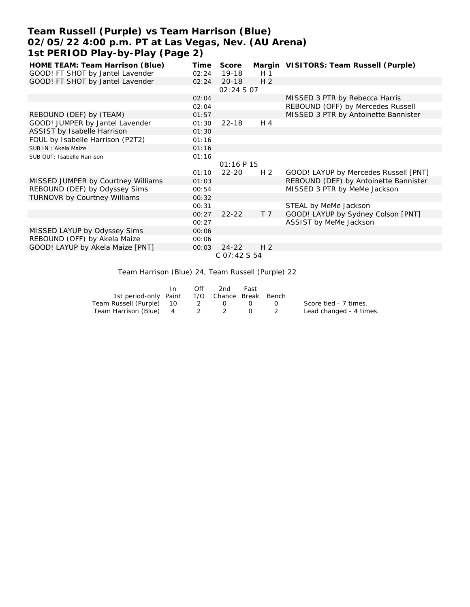# **Team Russell (Purple) vs Team Harrison (Blue) 02/05/22 4:00 p.m. PT at Las Vegas, Nev. (AU Arena) 1st PERIOD Play-by-Play (Page 2)**

| HOME TEAM: Team Harrison (Blue)     | Time  | Score             |                | Margin VISITORS: Team Russell (Purple) |  |  |  |  |  |  |
|-------------------------------------|-------|-------------------|----------------|----------------------------------------|--|--|--|--|--|--|
| GOOD! FT SHOT by Jantel Lavender    | 02:24 | $19-18$           | H <sub>1</sub> |                                        |  |  |  |  |  |  |
| GOOD! FT SHOT by Jantel Lavender    | 02:24 | $20 - 18$         | H <sub>2</sub> |                                        |  |  |  |  |  |  |
|                                     |       | <i>02:24 S 07</i> |                |                                        |  |  |  |  |  |  |
|                                     | 02:04 |                   |                | MISSED 3 PTR by Rebecca Harris         |  |  |  |  |  |  |
|                                     | 02:04 |                   |                | REBOUND (OFF) by Mercedes Russell      |  |  |  |  |  |  |
| REBOUND (DEF) by (TEAM)             | 01:57 |                   |                | MISSED 3 PTR by Antoinette Bannister   |  |  |  |  |  |  |
| GOOD! JUMPER by Jantel Lavender     | 01:30 | $22 - 18$         | H 4            |                                        |  |  |  |  |  |  |
| ASSIST by Isabelle Harrison         | 01:30 |                   |                |                                        |  |  |  |  |  |  |
| FOUL by Isabelle Harrison (P2T2)    | 01:16 |                   |                |                                        |  |  |  |  |  |  |
| SUB IN: Akela Maize                 | 01:16 |                   |                |                                        |  |  |  |  |  |  |
| SUB OUT: Isabelle Harrison          | 01:16 |                   |                |                                        |  |  |  |  |  |  |
|                                     |       | 01:16 P 15        |                |                                        |  |  |  |  |  |  |
|                                     | 01:10 | $22 - 20$         | H <sub>2</sub> | GOOD! LAYUP by Mercedes Russell [PNT]  |  |  |  |  |  |  |
| MISSED JUMPER by Courtney Williams  | 01:03 |                   |                | REBOUND (DEF) by Antoinette Bannister  |  |  |  |  |  |  |
| REBOUND (DEF) by Odyssey Sims       | 00:54 |                   |                | MISSED 3 PTR by MeMe Jackson           |  |  |  |  |  |  |
| <b>TURNOVR by Courtney Williams</b> | 00:32 |                   |                |                                        |  |  |  |  |  |  |
|                                     | 00:31 |                   |                | STEAL by MeMe Jackson                  |  |  |  |  |  |  |
|                                     | 00:27 | $22 - 22$         | T <sub>7</sub> | GOOD! LAYUP by Sydney Colson [PNT]     |  |  |  |  |  |  |
|                                     | 00:27 |                   |                | ASSIST by MeMe Jackson                 |  |  |  |  |  |  |
| MISSED LAYUP by Odyssey Sims        | 00:06 |                   |                |                                        |  |  |  |  |  |  |
| REBOUND (OFF) by Akela Maize        | 00:06 |                   |                |                                        |  |  |  |  |  |  |
| GOOD! LAYUP by Akela Maize [PNT]    | 00:03 | $24 - 22$         | H <sub>2</sub> |                                        |  |  |  |  |  |  |
| C 07:42 S 54                        |       |                   |                |                                        |  |  |  |  |  |  |

### Team Harrison (Blue) 24, Team Russell (Purple) 22

|                                              | In | Off | 2nd | Fast |                         |
|----------------------------------------------|----|-----|-----|------|-------------------------|
| 1st period-only Paint T/O Chance Break Bench |    |     |     |      |                         |
| Team Russell (Purple) 10 2 0 0 0             |    |     |     |      | Score tied - 7 times.   |
| Team Harrison (Blue) 4 2 2 0 2               |    |     |     |      | Lead changed - 4 times. |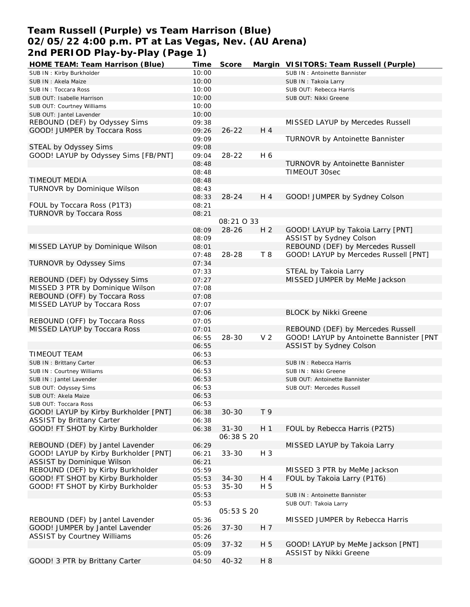# **Team Russell (Purple) vs Team Harrison (Blue) 02/05/22 4:00 p.m. PT at Las Vegas, Nev. (AU Arena) 2nd PERIOD Play-by-Play (Page 1)**

| HOME TEAM: Team Harrison (Blue)       | Time  | Score             |                | Margin VISITORS: Team Russell (Purple)   |
|---------------------------------------|-------|-------------------|----------------|------------------------------------------|
| SUB IN: Kirby Burkholder              | 10:00 |                   |                | SUB IN: Antoinette Bannister             |
| SUB IN: Akela Maize                   | 10:00 |                   |                | SUB IN: Takoia Larry                     |
| SUB IN: Toccara Ross                  | 10:00 |                   |                | SUB OUT: Rebecca Harris                  |
| SUB OUT: Isabelle Harrison            | 10:00 |                   |                | SUB OUT: Nikki Greene                    |
| SUB OUT: Courtney Williams            | 10:00 |                   |                |                                          |
| SUB OUT: Jantel Lavender              | 10:00 |                   |                |                                          |
| REBOUND (DEF) by Odyssey Sims         | 09:38 |                   |                | MISSED LAYUP by Mercedes Russell         |
| GOOD! JUMPER by Toccara Ross          | 09:26 | $26 - 22$         | H 4            |                                          |
|                                       | 09:09 |                   |                | TURNOVR by Antoinette Bannister          |
| STEAL by Odyssey Sims                 | 09:08 |                   |                |                                          |
| GOOD! LAYUP by Odyssey Sims [FB/PNT]  | 09:04 | $28 - 22$         | H 6            |                                          |
|                                       |       |                   |                |                                          |
|                                       | 08:48 |                   |                | TURNOVR by Antoinette Bannister          |
|                                       | 08:48 |                   |                | TIMEOUT 30sec                            |
| TIMEOUT MEDIA                         | 08:48 |                   |                |                                          |
| TURNOVR by Dominique Wilson           | 08:43 |                   |                |                                          |
|                                       | 08:33 | $28 - 24$         | H 4            | GOOD! JUMPER by Sydney Colson            |
| FOUL by Toccara Ross (P1T3)           | 08:21 |                   |                |                                          |
| <b>TURNOVR by Toccara Ross</b>        | 08:21 |                   |                |                                          |
|                                       |       | 08:21 0 33        |                |                                          |
|                                       | 08:09 | $28 - 26$         | H <sub>2</sub> | GOOD! LAYUP by Takoia Larry [PNT]        |
|                                       | 08:09 |                   |                | ASSIST by Sydney Colson                  |
| MISSED LAYUP by Dominique Wilson      | 08:01 |                   |                | REBOUND (DEF) by Mercedes Russell        |
|                                       | 07:48 | 28-28             | T8             | GOOD! LAYUP by Mercedes Russell [PNT]    |
| TURNOVR by Odyssey Sims               | 07:34 |                   |                |                                          |
|                                       | 07:33 |                   |                | STEAL by Takoia Larry                    |
| REBOUND (DEF) by Odyssey Sims         | 07:27 |                   |                | MISSED JUMPER by MeMe Jackson            |
| MISSED 3 PTR by Dominique Wilson      | 07:08 |                   |                |                                          |
| REBOUND (OFF) by Toccara Ross         | 07:08 |                   |                |                                          |
| MISSED LAYUP by Toccara Ross          | 07:07 |                   |                |                                          |
|                                       | 07:06 |                   |                | <b>BLOCK by Nikki Greene</b>             |
| REBOUND (OFF) by Toccara Ross         | 07:05 |                   |                |                                          |
|                                       |       |                   |                |                                          |
| MISSED LAYUP by Toccara Ross          | 07:01 |                   | V <sub>2</sub> | REBOUND (DEF) by Mercedes Russell        |
|                                       | 06:55 | $28 - 30$         |                | GOOD! LAYUP by Antoinette Bannister [PNT |
|                                       | 06:55 |                   |                | ASSIST by Sydney Colson                  |
| TIMEOUT TEAM                          | 06:53 |                   |                |                                          |
| SUB IN: Brittany Carter               | 06:53 |                   |                | SUB IN: Rebecca Harris                   |
| SUB IN: Courtney Williams             | 06:53 |                   |                | SUB IN: Nikki Greene                     |
| SUB IN: Jantel Lavender               | 06:53 |                   |                | SUB OUT: Antoinette Bannister            |
| SUB OUT: Odyssey Sims                 | 06:53 |                   |                | SUB OUT: Mercedes Russell                |
| SUB OUT: Akela Maize                  | 06:53 |                   |                |                                          |
| SUB OUT: Toccara Ross                 | 06:53 |                   |                |                                          |
| GOOD! LAYUP by Kirby Burkholder [PNT] | 06:38 | $30 - 30$         | T 9            |                                          |
| <b>ASSIST by Brittany Carter</b>      | 06:38 |                   |                |                                          |
| GOOD! FT SHOT by Kirby Burkholder     | 06:38 | $31 - 30$         | H <sub>1</sub> | FOUL by Rebecca Harris (P2T5)            |
|                                       |       | 06:38 S 20        |                |                                          |
| REBOUND (DEF) by Jantel Lavender      | 06:29 |                   |                | MISSED LAYUP by Takoia Larry             |
| GOOD! LAYUP by Kirby Burkholder [PNT] | 06:21 | $33 - 30$         | $H_3$          |                                          |
| ASSIST by Dominique Wilson            | 06:21 |                   |                |                                          |
| REBOUND (DEF) by Kirby Burkholder     | 05:59 |                   |                | MISSED 3 PTR by MeMe Jackson             |
| GOOD! FT SHOT by Kirby Burkholder     | 05:53 | $34 - 30$         | H 4            | FOUL by Takoia Larry (P1T6)              |
| GOOD! FT SHOT by Kirby Burkholder     | 05:53 | $35 - 30$         | H 5            |                                          |
|                                       | 05:53 |                   |                | SUB IN: Antoinette Bannister             |
|                                       | 05:53 |                   |                | SUB OUT: Takoia Larry                    |
|                                       |       | <i>05:53 S 20</i> |                |                                          |
|                                       |       |                   |                |                                          |
| REBOUND (DEF) by Jantel Lavender      | 05:36 |                   |                | MISSED JUMPER by Rebecca Harris          |
| GOOD! JUMPER by Jantel Lavender       | 05:26 | $37 - 30$         | H 7            |                                          |
| ASSIST by Courtney Williams           | 05:26 |                   |                |                                          |
|                                       | 05:09 | $37 - 32$         | H 5            | GOOD! LAYUP by MeMe Jackson [PNT]        |
|                                       | 05:09 |                   |                | ASSIST by Nikki Greene                   |
| GOOD! 3 PTR by Brittany Carter        | 04:50 | 40-32             | H 8            |                                          |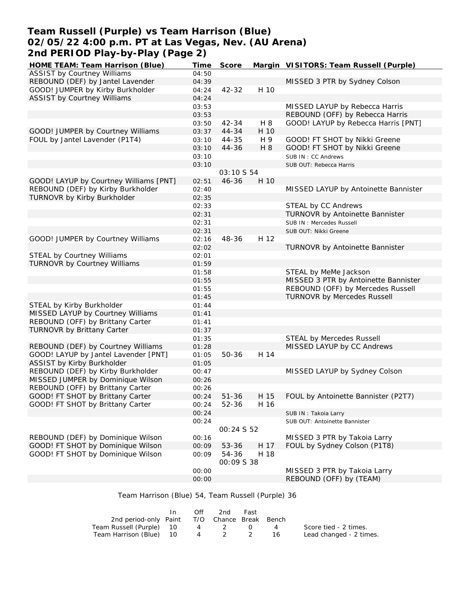# **Team Russell (Purple) vs Team Harrison (Blue) 02/05/22 4:00 p.m. PT at Las Vegas, Nev. (AU Arena) 2nd PERIOD Play-by-Play (Page 2)**

| HOME TEAM: Team Harrison (Blue)        | Time  | Score             |      | Margin VISITORS: Team Russell (Purple) |
|----------------------------------------|-------|-------------------|------|----------------------------------------|
| <b>ASSIST by Courtney Williams</b>     | 04:50 |                   |      |                                        |
| REBOUND (DEF) by Jantel Lavender       | 04:39 |                   |      | MISSED 3 PTR by Sydney Colson          |
| GOOD! JUMPER by Kirby Burkholder       | 04:24 | $42 - 32$         | H 10 |                                        |
| <b>ASSIST by Courtney Williams</b>     | 04:24 |                   |      |                                        |
|                                        | 03:53 |                   |      | MISSED LAYUP by Rebecca Harris         |
|                                        | 03:53 |                   |      | REBOUND (OFF) by Rebecca Harris        |
|                                        | 03:50 | $42 - 34$         | H 8  | GOOD! LAYUP by Rebecca Harris [PNT]    |
| GOOD! JUMPER by Courtney Williams      | 03:37 | 44-34             | H 10 |                                        |
| FOUL by Jantel Lavender (P1T4)         | 03:10 | 44-35             | H 9  | GOOD! FT SHOT by Nikki Greene          |
|                                        | 03:10 | 44-36             | H 8  | GOOD! FT SHOT by Nikki Greene          |
|                                        | 03:10 |                   |      | SUB IN: CC Andrews                     |
|                                        | 03:10 |                   |      | SUB OUT: Rebecca Harris                |
|                                        |       | 03:10 S 54        |      |                                        |
| GOOD! LAYUP by Courtney Williams [PNT] | 02:51 | $46 - 36$         | H 10 |                                        |
| REBOUND (DEF) by Kirby Burkholder      |       |                   |      | MISSED LAYUP by Antoinette Bannister   |
| TURNOVR by Kirby Burkholder            | 02:40 |                   |      |                                        |
|                                        | 02:35 |                   |      |                                        |
|                                        | 02:33 |                   |      | STEAL by CC Andrews                    |
|                                        | 02:31 |                   |      | TURNOVR by Antoinette Bannister        |
|                                        | 02:31 |                   |      | SUB IN: Mercedes Russell               |
|                                        | 02:31 |                   |      | SUB OUT: Nikki Greene                  |
| GOOD! JUMPER by Courtney Williams      | 02:16 | 48-36             | H 12 |                                        |
|                                        | 02:02 |                   |      | TURNOVR by Antoinette Bannister        |
| STEAL by Courtney Williams             | 02:01 |                   |      |                                        |
| TURNOVR by Courtney Williams           | 01:59 |                   |      |                                        |
|                                        | 01:58 |                   |      | STEAL by MeMe Jackson                  |
|                                        | 01:55 |                   |      | MISSED 3 PTR by Antoinette Bannister   |
|                                        | 01:55 |                   |      | REBOUND (OFF) by Mercedes Russell      |
|                                        | 01:45 |                   |      | <b>TURNOVR by Mercedes Russell</b>     |
| STEAL by Kirby Burkholder              | 01:44 |                   |      |                                        |
| MISSED LAYUP by Courtney Williams      | 01:41 |                   |      |                                        |
| REBOUND (OFF) by Brittany Carter       | 01:41 |                   |      |                                        |
| <b>TURNOVR by Brittany Carter</b>      | 01:37 |                   |      |                                        |
|                                        | 01:35 |                   |      | <b>STEAL by Mercedes Russell</b>       |
| REBOUND (DEF) by Courtney Williams     | 01:28 |                   |      | MISSED LAYUP by CC Andrews             |
| GOOD! LAYUP by Jantel Lavender [PNT]   | 01:05 | 50-36             | H 14 |                                        |
| ASSIST by Kirby Burkholder             | 01:05 |                   |      |                                        |
| REBOUND (DEF) by Kirby Burkholder      | 00:47 |                   |      | MISSED LAYUP by Sydney Colson          |
| MISSED JUMPER by Dominique Wilson      | 00:26 |                   |      |                                        |
| REBOUND (OFF) by Brittany Carter       | 00:26 |                   |      |                                        |
| GOOD! FT SHOT by Brittany Carter       | 00:24 | $51 - 36$         | H 15 | FOUL by Antoinette Bannister (P2T7)    |
| GOOD! FT SHOT by Brittany Carter       | 00:24 | 52-36             | H 16 |                                        |
|                                        | 00:24 |                   |      | SUB IN: Takoia Larry                   |
|                                        | 00:24 |                   |      | SUB OUT: Antoinette Bannister          |
|                                        |       | 00:24 S 52        |      |                                        |
| REBOUND (DEF) by Dominique Wilson      | 00:16 |                   |      | MISSED 3 PTR by Takoia Larry           |
| GOOD! FT SHOT by Dominique Wilson      | 00:09 | 53-36             | H 17 | FOUL by Sydney Colson (P1T8)           |
| GOOD! FT SHOT by Dominique Wilson      | 00:09 | 54-36             | H 18 |                                        |
|                                        |       | <i>00:09 S 38</i> |      |                                        |
|                                        | 00:00 |                   |      | MISSED 3 PTR by Takoia Larry           |
|                                        | 00:00 |                   |      | REBOUND (OFF) by (TEAM)                |
|                                        |       |                   |      |                                        |

### Team Harrison (Blue) 54, Team Russell (Purple) 36

|                                              | In In | Off | 2nd   | Fast |     |                         |
|----------------------------------------------|-------|-----|-------|------|-----|-------------------------|
| 2nd period-only Paint T/O Chance Break Bench |       |     |       |      |     |                         |
| Team Russell (Purple) 10                     |       |     | 4 2 0 |      | 4   | Score tied - 2 times.   |
| Team Harrison (Blue) 10                      |       |     | 4 2 2 |      | -16 | Lead changed - 2 times. |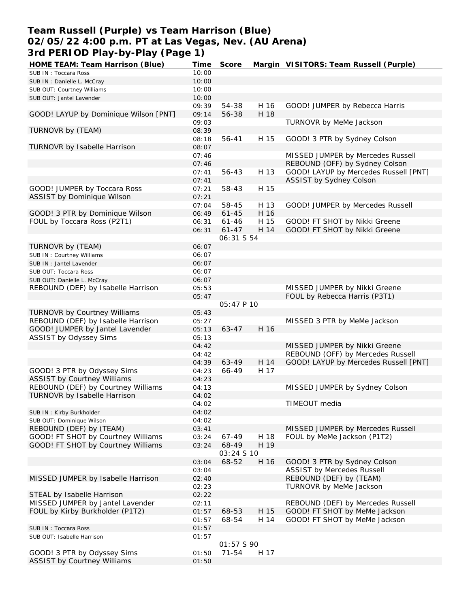## **Team Russell (Purple) vs Team Harrison (Blue) 02/05/22 4:00 p.m. PT at Las Vegas, Nev. (AU Arena) 3rd PERIOD Play-by-Play (Page 1)**

| HOME TEAM: Team Harrison (Blue)       | Time  | Score      |      | Margin VISITORS: Team Russell (Purple) |
|---------------------------------------|-------|------------|------|----------------------------------------|
| SUB IN: Toccara Ross                  | 10:00 |            |      |                                        |
| SUB IN : Danielle L. McCray           | 10:00 |            |      |                                        |
| SUB OUT: Courtney Williams            | 10:00 |            |      |                                        |
| SUB OUT: Jantel Lavender              | 10:00 |            |      |                                        |
|                                       | 09:39 | 54-38      | H 16 | GOOD! JUMPER by Rebecca Harris         |
| GOOD! LAYUP by Dominique Wilson [PNT] | 09:14 | 56-38      | H 18 |                                        |
|                                       | 09:03 |            |      | TURNOVR by MeMe Jackson                |
| TURNOVR by (TEAM)                     | 08:39 |            |      |                                        |
|                                       | 08:18 | 56-41      | H 15 | GOOD! 3 PTR by Sydney Colson           |
| TURNOVR by Isabelle Harrison          | 08:07 |            |      |                                        |
|                                       | 07:46 |            |      | MISSED JUMPER by Mercedes Russell      |
|                                       |       |            |      | REBOUND (OFF) by Sydney Colson         |
|                                       | 07:46 |            |      | GOOD! LAYUP by Mercedes Russell [PNT]  |
|                                       | 07:41 | 56-43      | H 13 |                                        |
|                                       | 07:41 |            |      | ASSIST by Sydney Colson                |
| GOOD! JUMPER by Toccara Ross          | 07:21 | 58-43      | H 15 |                                        |
| ASSIST by Dominique Wilson            | 07:21 |            |      |                                        |
|                                       | 07:04 | 58-45      | H 13 | GOOD! JUMPER by Mercedes Russell       |
| GOOD! 3 PTR by Dominique Wilson       | 06:49 | $61 - 45$  | H 16 |                                        |
| FOUL by Toccara Ross (P2T1)           | 06:31 | $61 - 46$  | H 15 | GOOD! FT SHOT by Nikki Greene          |
|                                       | 06:31 | $61 - 47$  | H 14 | GOOD! FT SHOT by Nikki Greene          |
|                                       |       | 06:31 S 54 |      |                                        |
| TURNOVR by (TEAM)                     | 06:07 |            |      |                                        |
| SUB IN: Courtney Williams             | 06:07 |            |      |                                        |
| SUB IN: Jantel Lavender               | 06:07 |            |      |                                        |
| SUB OUT: Toccara Ross                 | 06:07 |            |      |                                        |
| SUB OUT: Danielle L. McCray           | 06:07 |            |      |                                        |
| REBOUND (DEF) by Isabelle Harrison    | 05:53 |            |      | MISSED JUMPER by Nikki Greene          |
|                                       | 05:47 |            |      | FOUL by Rebecca Harris (P3T1)          |
|                                       |       | 05:47 P 10 |      |                                        |
| TURNOVR by Courtney Williams          | 05:43 |            |      |                                        |
| REBOUND (DEF) by Isabelle Harrison    | 05:27 |            |      | MISSED 3 PTR by MeMe Jackson           |
| GOOD! JUMPER by Jantel Lavender       | 05:13 | $63 - 47$  | H 16 |                                        |
| ASSIST by Odyssey Sims                | 05:13 |            |      |                                        |
|                                       | 04:42 |            |      | MISSED JUMPER by Nikki Greene          |
|                                       | 04:42 |            |      | REBOUND (OFF) by Mercedes Russell      |
|                                       |       |            |      |                                        |
|                                       | 04:39 | 63-49      | H 14 | GOOD! LAYUP by Mercedes Russell [PNT]  |
| GOOD! 3 PTR by Odyssey Sims           | 04:23 | 66-49      | H 17 |                                        |
| <b>ASSIST by Courtney Williams</b>    | 04:23 |            |      |                                        |
| REBOUND (DEF) by Courtney Williams    | 04:13 |            |      | MISSED JUMPER by Sydney Colson         |
| TURNOVR by Isabelle Harrison          | 04:02 |            |      |                                        |
|                                       | 04:02 |            |      | TIMEOUT media                          |
| SUB IN: Kirby Burkholder              | 04:02 |            |      |                                        |
| SUB OUT: Dominique Wilson             | 04:02 |            |      |                                        |
| REBOUND (DEF) by (TEAM)               | 03:41 |            |      | MISSED JUMPER by Mercedes Russell      |
| GOOD! FT SHOT by Courtney Williams    | 03:24 | 67-49      | H 18 | FOUL by MeMe Jackson (P1T2)            |
| GOOD! FT SHOT by Courtney Williams    | 03:24 | 68-49      | H 19 |                                        |
|                                       |       | 03:24 S 10 |      |                                        |
|                                       | 03:04 | 68-52      | H 16 | GOOD! 3 PTR by Sydney Colson           |
|                                       | 03:04 |            |      | <b>ASSIST by Mercedes Russell</b>      |
| MISSED JUMPER by Isabelle Harrison    | 02:40 |            |      | REBOUND (DEF) by (TEAM)                |
|                                       | 02:23 |            |      | TURNOVR by MeMe Jackson                |
| STEAL by Isabelle Harrison            | 02:22 |            |      |                                        |
| MISSED JUMPER by Jantel Lavender      | 02:11 |            |      | REBOUND (DEF) by Mercedes Russell      |
| FOUL by Kirby Burkholder (P1T2)       | 01:57 | 68-53      | H 15 | GOOD! FT SHOT by MeMe Jackson          |
|                                       | 01:57 | 68-54      | H 14 | GOOD! FT SHOT by MeMe Jackson          |
| SUB IN: Toccara Ross                  | 01:57 |            |      |                                        |
| SUB OUT: Isabelle Harrison            | 01:57 |            |      |                                        |
|                                       |       | 01:57 S 90 |      |                                        |
| GOOD! 3 PTR by Odyssey Sims           | 01:50 | $71 - 54$  | H 17 |                                        |
| <b>ASSIST by Courtney Williams</b>    | 01:50 |            |      |                                        |
|                                       |       |            |      |                                        |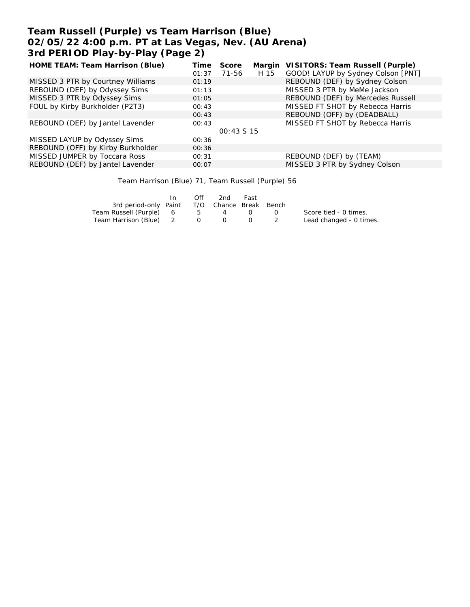# **Team Russell (Purple) vs Team Harrison (Blue) 02/05/22 4:00 p.m. PT at Las Vegas, Nev. (AU Arena) 3rd PERIOD Play-by-Play (Page 2)**

| HOME TEAM: Team Harrison (Blue)   | Time  | Score       |      | Margin VISITORS: Team Russell (Purple) |
|-----------------------------------|-------|-------------|------|----------------------------------------|
|                                   | 01:37 | 71-56       | H 15 | GOOD! LAYUP by Sydney Colson [PNT]     |
| MISSED 3 PTR by Courtney Williams | 01:19 |             |      | REBOUND (DEF) by Sydney Colson         |
| REBOUND (DEF) by Odyssey Sims     | 01:13 |             |      | MISSED 3 PTR by MeMe Jackson           |
| MISSED 3 PTR by Odyssey Sims      | 01:05 |             |      | REBOUND (DEF) by Mercedes Russell      |
| FOUL by Kirby Burkholder (P2T3)   | 00:43 |             |      | MISSED FT SHOT by Rebecca Harris       |
|                                   | 00:43 |             |      | REBOUND (OFF) by (DEADBALL)            |
| REBOUND (DEF) by Jantel Lavender  | 00:43 |             |      | MISSED FT SHOT by Rebecca Harris       |
|                                   |       | $00:43S$ 15 |      |                                        |
| MISSED LAYUP by Odyssey Sims      | 00:36 |             |      |                                        |
| REBOUND (OFF) by Kirby Burkholder | 00:36 |             |      |                                        |
| MISSED JUMPER by Toccara Ross     | 00:31 |             |      | REBOUND (DEF) by (TEAM)                |
| REBOUND (DEF) by Jantel Lavender  | 00:07 |             |      | MISSED 3 PTR by Sydney Colson          |
|                                   |       |             |      |                                        |

Team Harrison (Blue) 71, Team Russell (Purple) 56

|                                              | In. | Off | 2nd      | Fast        |                  |                         |
|----------------------------------------------|-----|-----|----------|-------------|------------------|-------------------------|
| 3rd period-only Paint T/O Chance Break Bench |     |     |          |             |                  |                         |
| Team Russell (Purple) 6                      |     | 5 5 | $\sim$ 4 |             | $\left( \right)$ | Score tied - 0 times.   |
| Team Harrison (Blue) 2 0 0                   |     |     |          | $0\qquad 2$ |                  | Lead changed - 0 times. |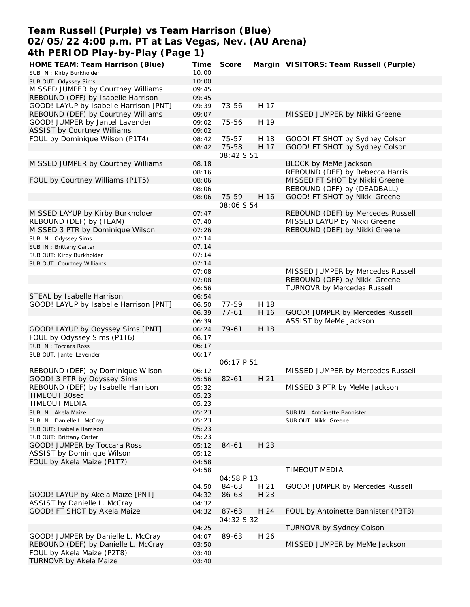## **Team Russell (Purple) vs Team Harrison (Blue) 02/05/22 4:00 p.m. PT at Las Vegas, Nev. (AU Arena) 4th PERIOD Play-by-Play (Page 1)**

| HOME TEAM: Team Harrison (Blue)        | Time  | Score             |      | Margin VISITORS: Team Russell (Purple) |
|----------------------------------------|-------|-------------------|------|----------------------------------------|
| SUB IN: Kirby Burkholder               | 10:00 |                   |      |                                        |
| SUB OUT: Odyssey Sims                  | 10:00 |                   |      |                                        |
| MISSED JUMPER by Courtney Williams     | 09:45 |                   |      |                                        |
| REBOUND (OFF) by Isabelle Harrison     | 09:45 |                   |      |                                        |
| GOOD! LAYUP by Isabelle Harrison [PNT] | 09:39 | 73-56             | H 17 |                                        |
| REBOUND (DEF) by Courtney Williams     | 09:07 |                   |      | MISSED JUMPER by Nikki Greene          |
| GOOD! JUMPER by Jantel Lavender        | 09:02 | 75-56             | H 19 |                                        |
| <b>ASSIST by Courtney Williams</b>     | 09:02 |                   |      |                                        |
| FOUL by Dominique Wilson (P1T4)        | 08:42 | 75-57             | H 18 | GOOD! FT SHOT by Sydney Colson         |
|                                        | 08:42 | 75-58             | H 17 | GOOD! FT SHOT by Sydney Colson         |
|                                        |       | 08:42 S 51        |      |                                        |
|                                        |       |                   |      | BLOCK by MeMe Jackson                  |
| MISSED JUMPER by Courtney Williams     | 08:18 |                   |      |                                        |
|                                        | 08:16 |                   |      | REBOUND (DEF) by Rebecca Harris        |
| FOUL by Courtney Williams (P1T5)       | 08:06 |                   |      | MISSED FT SHOT by Nikki Greene         |
|                                        | 08:06 |                   |      | REBOUND (OFF) by (DEADBALL)            |
|                                        | 08:06 | 75-59             | H 16 | GOOD! FT SHOT by Nikki Greene          |
|                                        |       | 08:06 S 54        |      |                                        |
| MISSED LAYUP by Kirby Burkholder       | 07:47 |                   |      | REBOUND (DEF) by Mercedes Russell      |
| REBOUND (DEF) by (TEAM)                | 07:40 |                   |      | MISSED LAYUP by Nikki Greene           |
| MISSED 3 PTR by Dominique Wilson       | 07:26 |                   |      | REBOUND (DEF) by Nikki Greene          |
| SUB IN: Odyssey Sims                   | 07:14 |                   |      |                                        |
| SUB IN: Brittany Carter                | 07:14 |                   |      |                                        |
| SUB OUT: Kirby Burkholder              | 07:14 |                   |      |                                        |
| SUB OUT: Courtney Williams             | 07:14 |                   |      |                                        |
|                                        | 07:08 |                   |      | MISSED JUMPER by Mercedes Russell      |
|                                        | 07:08 |                   |      | REBOUND (OFF) by Nikki Greene          |
|                                        | 06:56 |                   |      | <b>TURNOVR by Mercedes Russell</b>     |
| STEAL by Isabelle Harrison             | 06:54 |                   |      |                                        |
| GOOD! LAYUP by Isabelle Harrison [PNT] |       | 77-59             | H 18 |                                        |
|                                        | 06:50 |                   |      |                                        |
|                                        | 06:39 | $77 - 61$         | H 16 | GOOD! JUMPER by Mercedes Russell       |
|                                        | 06:39 |                   |      | ASSIST by MeMe Jackson                 |
| GOOD! LAYUP by Odyssey Sims [PNT]      | 06:24 | 79-61             | H 18 |                                        |
| FOUL by Odyssey Sims (P1T6)            | 06:17 |                   |      |                                        |
| SUB IN: Toccara Ross                   | 06:17 |                   |      |                                        |
| SUB OUT: Jantel Lavender               | 06:17 |                   |      |                                        |
|                                        |       | <i>06:17 P 51</i> |      |                                        |
| REBOUND (DEF) by Dominique Wilson      | 06:12 |                   |      | MISSED JUMPER by Mercedes Russell      |
| GOOD! 3 PTR by Odyssey Sims            | 05:56 | $82 - 61$         | H 21 |                                        |
| REBOUND (DEF) by Isabelle Harrison     | 05:32 |                   |      | MISSED 3 PTR by MeMe Jackson           |
| TIMEOUT 30sec                          | 05:23 |                   |      |                                        |
| TIMEOUT MEDIA                          | 05:23 |                   |      |                                        |
| SUB IN: Akela Maize                    | 05:23 |                   |      | SUB IN: Antoinette Bannister           |
| SUB IN: Danielle L. McCray             | 05:23 |                   |      | SUB OUT: Nikki Greene                  |
| SUB OUT: Isabelle Harrison             | 05:23 |                   |      |                                        |
| SUB OUT: Brittany Carter               | 05:23 |                   |      |                                        |
| GOOD! JUMPER by Toccara Ross           | 05:12 | 84-61             | H 23 |                                        |
| ASSIST by Dominique Wilson             | 05:12 |                   |      |                                        |
| FOUL by Akela Maize (P1T7)             | 04:58 |                   |      |                                        |
|                                        | 04:58 |                   |      | TIMEOUT MEDIA                          |
|                                        |       | 04:58 P 13        |      |                                        |
|                                        |       |                   |      |                                        |
|                                        | 04:50 | 84-63             | H 21 | GOOD! JUMPER by Mercedes Russell       |
| GOOD! LAYUP by Akela Maize [PNT]       | 04:32 | 86-63             | H 23 |                                        |
| ASSIST by Danielle L. McCray           | 04:32 |                   |      |                                        |
| GOOD! FT SHOT by Akela Maize           | 04:32 | 87-63             | H 24 | FOUL by Antoinette Bannister (P3T3)    |
|                                        |       | 04:32 S 32        |      |                                        |
|                                        | 04:25 |                   |      | TURNOVR by Sydney Colson               |
| GOOD! JUMPER by Danielle L. McCray     | 04:07 | 89-63             | H 26 |                                        |
| REBOUND (DEF) by Danielle L. McCray    | 03:50 |                   |      | MISSED JUMPER by MeMe Jackson          |
| FOUL by Akela Maize (P2T8)             | 03:40 |                   |      |                                        |
| TURNOVR by Akela Maize                 | 03:40 |                   |      |                                        |
|                                        |       |                   |      |                                        |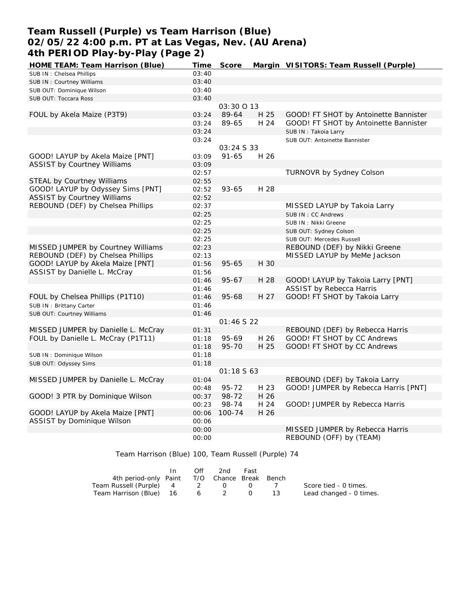## **Team Russell (Purple) vs Team Harrison (Blue) 02/05/22 4:00 p.m. PT at Las Vegas, Nev. (AU Arena) 4th PERIOD Play-by-Play (Page 2)**

| 03:40<br>SUB IN: Chelsea Phillips<br>03:40<br>SUB IN: Courtney Williams<br>03:40<br>SUB OUT: Dominique Wilson |  |
|---------------------------------------------------------------------------------------------------------------|--|
|                                                                                                               |  |
|                                                                                                               |  |
|                                                                                                               |  |
| 03:40<br>SUB OUT: Toccara Ross                                                                                |  |
| 03:30 0 13                                                                                                    |  |
| H 25<br>GOOD! FT SHOT by Antoinette Bannister<br>FOUL by Akela Maize (P3T9)<br>89-64<br>03:24                 |  |
| 89-65<br>H 24<br>GOOD! FT SHOT by Antoinette Bannister<br>03:24                                               |  |
| 03:24<br>SUB IN: Takoia Larry                                                                                 |  |
| 03:24<br>SUB OUT: Antoinette Bannister                                                                        |  |
| 03:24 S 33                                                                                                    |  |
| GOOD! LAYUP by Akela Maize [PNT]<br>H 26<br>03:09<br>$91 - 65$                                                |  |
| <b>ASSIST by Courtney Williams</b><br>03:09                                                                   |  |
| 02:57<br>TURNOVR by Sydney Colson                                                                             |  |
| <b>STEAL by Courtney Williams</b><br>02:55                                                                    |  |
| GOOD! LAYUP by Odyssey Sims [PNT]<br>93-65<br>H 28<br>02:52                                                   |  |
| <b>ASSIST by Courtney Williams</b><br>02:52                                                                   |  |
| REBOUND (DEF) by Chelsea Phillips<br>02:37<br>MISSED LAYUP by Takoia Larry                                    |  |
| 02:25<br>SUB IN: CC Andrews                                                                                   |  |
| 02:25<br>SUB IN : Nikki Greene                                                                                |  |
| 02:25<br>SUB OUT: Sydney Colson                                                                               |  |
| 02:25<br>SUB OUT: Mercedes Russell                                                                            |  |
| MISSED JUMPER by Courtney Williams<br>02:23<br>REBOUND (DEF) by Nikki Greene                                  |  |
| REBOUND (DEF) by Chelsea Phillips<br>MISSED LAYUP by MeMe Jackson<br>02:13                                    |  |
| GOOD! LAYUP by Akela Maize [PNT]<br>H 30<br>01:56<br>$95 - 65$                                                |  |
| ASSIST by Danielle L. McCray<br>01:56                                                                         |  |
| $95 - 67$<br>H 28<br>GOOD! LAYUP by Takoia Larry [PNT]<br>01:46                                               |  |
| <b>ASSIST by Rebecca Harris</b><br>01:46                                                                      |  |
| FOUL by Chelsea Phillips (P1T10)<br>95-68<br>H 27<br>GOOD! FT SHOT by Takoia Larry<br>01:46                   |  |
| SUB IN: Brittany Carter<br>01:46                                                                              |  |
| SUB OUT: Courtney Williams<br>01:46                                                                           |  |
| 01:46 S 22                                                                                                    |  |
| MISSED JUMPER by Danielle L. McCray<br>REBOUND (DEF) by Rebecca Harris<br>01:31                               |  |
| FOUL by Danielle L. McCray (P1T11)<br>GOOD! FT SHOT by CC Andrews<br>95-69<br>H 26<br>01:18                   |  |
| H 25<br>GOOD! FT SHOT by CC Andrews<br>95-70<br>01:18                                                         |  |
| 01:18<br>SUB IN: Dominique Wilson                                                                             |  |
| 01:18<br>SUB OUT: Odyssey Sims                                                                                |  |
| 01:18563                                                                                                      |  |
| REBOUND (DEF) by Takoia Larry<br>MISSED JUMPER by Danielle L. McCray<br>01:04                                 |  |
| $95 - 72$<br>GOOD! JUMPER by Rebecca Harris [PNT]<br>H 23<br>00:48                                            |  |
| GOOD! 3 PTR by Dominique Wilson<br>98-72<br>H 26<br>00:37                                                     |  |
| 98-74<br>H 24<br>GOOD! JUMPER by Rebecca Harris<br>00:23                                                      |  |
| GOOD! LAYUP by Akela Maize [PNT]<br>100-74<br>H 26<br>00:06                                                   |  |
| ASSIST by Dominique Wilson<br>00:06                                                                           |  |
| MISSED JUMPER by Rebecca Harris<br>00:00                                                                      |  |
| REBOUND (OFF) by (TEAM)<br>00:00                                                                              |  |

Team Harrison (Blue) 100, Team Russell (Purple) 74

|                                              | $\mathsf{In}$ | Off | 2nd          | Fast             |            |                         |
|----------------------------------------------|---------------|-----|--------------|------------------|------------|-------------------------|
| 4th period-only Paint T/O Chance Break Bench |               |     |              |                  |            |                         |
| Team Russell (Purple) 4                      |               |     | $2 \qquad 0$ | ()               | $\sqrt{ }$ | Score tied - 0 times.   |
| Team Harrison (Blue) 16                      |               |     | $6\qquad 2$  | $\left( \right)$ |            | Lead changed - 0 times. |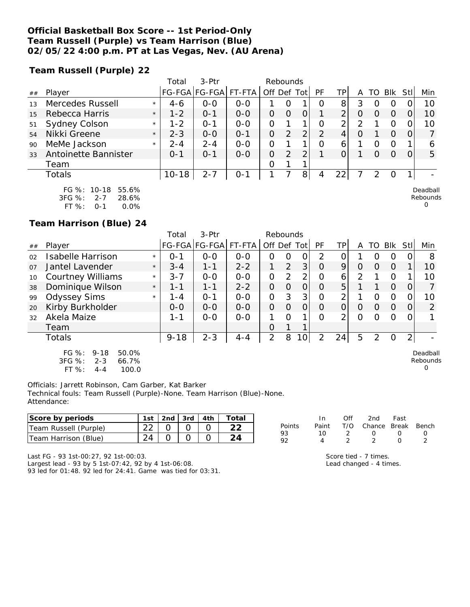### **Official Basketball Box Score -- 1st Period-Only Team Russell (Purple) vs Team Harrison (Blue) 02/05/22 4:00 p.m. PT at Las Vegas, Nev. (AU Arena)**

**Team Russell (Purple) 22**

|    |                                                    |         | Total     | $3-Ptr$       |         |             | Rebounds |   |               |                 |   |                  |            |          |                      |
|----|----------------------------------------------------|---------|-----------|---------------|---------|-------------|----------|---|---------------|-----------------|---|------------------|------------|----------|----------------------|
| ## | Player                                             |         |           | FG-FGA FG-FGA | FT-FTA  | Off Def Tot |          |   | PF            | TPI             | Α | TO               | <b>BIK</b> | Stll     | Min                  |
| 13 | Mercedes Russell                                   | $\star$ | $4-6$     | $0 - 0$       | $0 - 0$ |             | O        |   | O             | 8 <sup>1</sup>  | 3 | O                | O          |          | 10                   |
| 15 | Rebecca Harris                                     | $\star$ | $1 - 2$   | $O - 1$       | $0 - 0$ | 0           | 0        | 0 |               | $\overline{2}$  | O | O                | O          |          | 10                   |
| 51 | Sydney Colson                                      | $\star$ | $1 - 2$   | 0-1           | $0 - 0$ | 0           |          |   | O             | 2               | 2 |                  | O          |          | 10                   |
| 54 | Nikki Greene                                       | $\star$ | $2 - 3$   | $0 - 0$       | $O - 1$ | 0           | 2        | 2 | $\mathcal{P}$ | 4               | O |                  | O          | $\Omega$ |                      |
| 90 | MeMe Jackson                                       | $\star$ | $2 - 4$   | $2 - 4$       | $0 - 0$ | 0           |          |   | $\Omega$      | 6               |   | Ω                | O          |          | 6                    |
| 33 | Antoinette Bannister                               |         | $O - 1$   | $0 - 1$       | $0 - 0$ | O           | 2        | 2 |               | O               |   | $\left( \right)$ | O          | $\Omega$ | 5                    |
|    | Team                                               |         |           |               |         | O           |          |   |               |                 |   |                  |            |          |                      |
|    | <b>Totals</b>                                      |         | $10 - 18$ | $2 - 7$       | $0 - 1$ |             |          | 8 | 4             | 22 <sub>1</sub> |   | っ                | O          |          |                      |
|    | FG %: 10-18<br>55.6%<br>3FG %:<br>28.6%<br>$2 - 7$ |         |           |               |         |             |          |   |               |                 |   |                  |            |          | Deadball<br>Rebounds |

FT %: 0-1 0.0%

**Team Harrison (Blue) 24**

|    |                                                                            |         | Total    | $3-Ptr$       |         |                | Rebounds |                 |                |     |          |          |            |                |         |
|----|----------------------------------------------------------------------------|---------|----------|---------------|---------|----------------|----------|-----------------|----------------|-----|----------|----------|------------|----------------|---------|
| ## | Player                                                                     |         |          | FG-FGA FG-FGA | FT-FTA  | Off            | Def Tot  |                 | <b>PF</b>      | TPI | A        | TO       | <b>BIK</b> | Stl            | Min     |
| 02 | Isabelle Harrison                                                          | $\star$ | $O - 1$  | $O - O$       | $O - O$ | O              | 0        | 0               | 2              | 0   |          | O        | O          | 0              | 8       |
| 07 | Jantel Lavender                                                            | $\star$ | $3 - 4$  | $1 - 1$       | $2 - 2$ |                | 2        | 3               | $\overline{O}$ | 9   | $\Omega$ | $\Omega$ | $\Omega$   |                | 10      |
| 10 | <b>Courtney Williams</b>                                                   | $\star$ | $3 - 7$  | $O - O$       | $O - O$ | 0              | 2        | 2               | $\Omega$       | 6   | 2        |          | $\circ$    |                | 10      |
| 38 | Dominique Wilson                                                           | $\star$ | $1 - 1$  | $1 - 1$       | $2 - 2$ | 0              | $\Omega$ | Ο               | $\Omega$       | 5   |          |          | $\Omega$   | $\overline{O}$ | 7       |
| 99 | <b>Odyssey Sims</b>                                                        | $\star$ | $1 - 4$  | $O - 1$       | $O - O$ | 0              | 3        | 3               | $\Omega$       | 2   |          | $\Omega$ | $\Omega$   | $\mathcal{O}$  | 10      |
| 20 | Kirby Burkholder                                                           |         | $0 - 0$  | $O - O$       | $0 - 0$ | $\Omega$       | $\Omega$ | O               | $\Omega$       | 0   | $\Omega$ | $\Omega$ | $\Omega$   | $\overline{O}$ | 2       |
| 32 | Akela Maize                                                                |         | $1 - 1$  | $O-O$         | $0-0$   | 1              | $\Omega$ | 1               | $\Omega$       | 2   | $\Omega$ | $\Omega$ | $\Omega$   | 0              | 1       |
|    | Team                                                                       |         |          |               |         | 0              | 1        | 1               |                |     |          |          |            |                |         |
|    | Totals                                                                     |         | $9 - 18$ | $2 - 3$       | $4 - 4$ | $\overline{2}$ | 8        | 10 <sub>1</sub> | 2              | 24  | 5        | 2        | 0          | $\overline{2}$ |         |
|    | FG %:<br>9-18<br>50.0%<br>$\overline{a} = \overline{a} \cdot \overline{a}$ |         |          |               |         |                |          |                 |                |     |          |          |            |                | Deadbal |

3FG %: 2-3 66.7% FT %: 4-4 100.0

 $\overline{\mathsf{H}}$ Rebounds 0

 $\Omega$ 

Officials: Jarrett Robinson, Cam Garber, Kat Barker Technical fouls: Team Russell (Purple)-None. Team Harrison (Blue)-None. Attendance:

| Score by periods        | 1st i  | 2nd | 3rd | 4th | `otal  |        |      | 2nd    | Fast  |       |
|-------------------------|--------|-----|-----|-----|--------|--------|------|--------|-------|-------|
| Team Russell (Purple)   | $\cap$ |     |     |     | $\cap$ | Points | Pain | Chance | Break | Bench |
| (Blue)<br>Team Harrison | 24     |     |     |     |        | -93    |      |        |       |       |

Last FG - 93 1st-00:27, 92 1st-00:03.

Largest lead - 93 by 5 1st-07:42, 92 by 4 1st-06:08. 93 led for 01:48. 92 led for 24:41. Game was tied for 03:31. Score tied - 7 times. Lead changed - 4 times.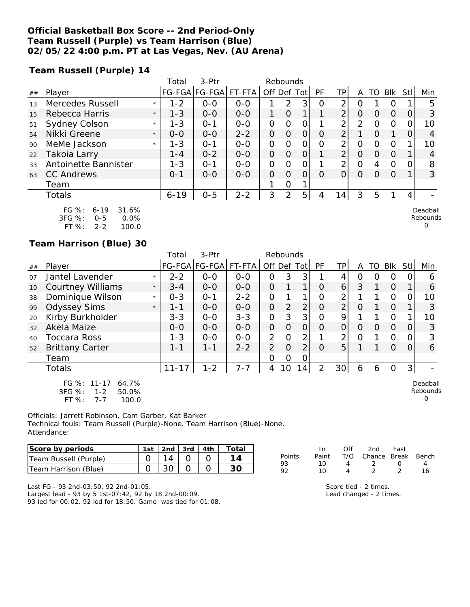### **Official Basketball Box Score -- 2nd Period-Only Team Russell (Purple) vs Team Harrison (Blue) 02/05/22 4:00 p.m. PT at Las Vegas, Nev. (AU Arena)**

**Team Russell (Purple) 14**

|     |                                                             |         | Total    | 3-Ptr         |         |                | Rebounds |               |           |                |                |    |                |      |                      |
|-----|-------------------------------------------------------------|---------|----------|---------------|---------|----------------|----------|---------------|-----------|----------------|----------------|----|----------------|------|----------------------|
| ##  | Player                                                      |         |          | FG-FGA FG-FGA | FT-FTA  | Off Def        |          | Tot l         | <b>PF</b> | ΤP             | A              | TO | Blk            | Stll | Min                  |
| 1.3 | Mercedes Russell                                            | $\star$ | $1 - 2$  | $0 - 0$       | $0 - 0$ |                | 2        | 3             | 0         | ⌒              | 0              |    | 0              |      | 5                    |
| 15  | Rebecca Harris                                              | $\star$ | $1 - 3$  | $0 - 0$       | $0 - 0$ | 1.             | O        | 1             |           | $\overline{2}$ | O              | 0  | $\Omega$       | 0    | 3                    |
| 51  | Sydney Colson                                               | $\star$ | $1 - 3$  | $O - 1$       | $0 - 0$ | 0              | Ω        | Ο             |           | 2              | $\overline{2}$ | Ω  | 0              |      | 10                   |
| 54  | Nikki Greene                                                | $\star$ | $0 - 0$  | $0 - 0$       | $2 - 2$ | $\overline{O}$ | O        | 0             | O         | $\overline{2}$ |                | Ω  | 1              | Ω    | 4                    |
| 90  | MeMe Jackson                                                | $\star$ | $1 - 3$  | $O - 1$       | $0 - 0$ | 0              | O        | 0             | $\Omega$  | 2              | Ω              | ∩  | $\Omega$       |      | 10                   |
| 22  | Takoia Larry                                                |         | $1 - 4$  | $0 - 2$       | $0 - 0$ | 0              | O        | 0             |           | ⌒              | O              | Ω  | $\Omega$       |      | 4                    |
| 33  | Antoinette Bannister                                        |         | $1 - 3$  | $O - 1$       | $0-0$   | $\overline{O}$ | 0        | $\mathcal{O}$ |           | ⌒              | 0              | 4  | $\overline{O}$ |      | 8                    |
| 63  | <b>CC Andrews</b>                                           |         | $0 - 1$  | $0 - 0$       | $0 - 0$ | $\Omega$       | $\Omega$ | O             | Ω         | Ω              | O              | Ω  | $\Omega$       |      | 3                    |
|     | Team                                                        |         |          |               |         |                | 0        |               |           |                |                |    |                |      |                      |
|     | <b>Totals</b>                                               |         | $6 - 19$ | $0 - 5$       | $2 - 2$ | 3              | 2        | 5             | 4         | 14             | 3              | 5  |                | 4    |                      |
|     | $FG \%$ :<br>31.6%<br>$6 - 19$<br>3FG %:<br>0.0%<br>$O - 5$ |         |          |               |         |                |          |               |           |                |                |    |                |      | Deadball<br>Rebounds |

FT %: 2-2 100.0

#### **Team Harrison (Blue) 30**

|    |                                                                                 |         | Total     | 3-Ptr                |         |                | Rebounds       |                 |          |                |          |           |                |                |                                  |
|----|---------------------------------------------------------------------------------|---------|-----------|----------------------|---------|----------------|----------------|-----------------|----------|----------------|----------|-----------|----------------|----------------|----------------------------------|
| ## | Player                                                                          |         |           | FG-FGA FG-FGA FT-FTA |         | Off Def Tot    |                |                 | PF       | <b>TP</b>      | A        | <b>TO</b> | Blk            | Stll           | Min                              |
| 07 | Jantel Lavender                                                                 | $\star$ | $2 - 2$   | $0 - 0$              | $0 - 0$ | 0              | 3              | 3               |          | 4              | 0        | O         | 0              | 0              | 6                                |
| 10 | <b>Courtney Williams</b>                                                        | $\star$ | $3 - 4$   | $0-0$                | $O - O$ | $\overline{O}$ | $\mathbf{1}$   | $\mathbf{1}$    | $\Omega$ | $\overline{6}$ | 3        | 1         | $\overline{O}$ | 1              | 6                                |
| 38 | Dominique Wilson                                                                | $\star$ | $0 - 3$   | $O - 1$              | $2 - 2$ | $\overline{O}$ |                | 1               | O        | $\overline{2}$ |          |           | $\Omega$       | $\Omega$       | 10                               |
| 99 | <b>Odyssey Sims</b>                                                             | $\star$ | $1 - 1$   | $0 - 0$              | $0 - 0$ | $\Omega$       | 2              | $\overline{2}$  | $\Omega$ | $\overline{2}$ | $\Omega$ |           | $\Omega$       |                | 3                                |
| 20 | Kirby Burkholder                                                                |         | $3 - 3$   | $0 - 0$              | $3 - 3$ | $\mathcal{O}$  | 3              | 3               | O        | 9              |          |           | $\circ$        |                | 10                               |
| 32 | Akela Maize                                                                     |         | $0-0$     | $0-0$                | $0-0$   | $\overline{O}$ | $\Omega$       | $\overline{O}$  | $\Omega$ | $\overline{O}$ | $\Omega$ | 0         | $\overline{O}$ | 0              | 3                                |
| 40 | <b>Toccara Ross</b>                                                             |         | $1 - 3$   | $0-0$                | $O-O$   | 2              | $\Omega$       | $\overline{2}$  |          | $\overline{2}$ | $\Omega$ |           | $\Omega$       | 0              | 3                                |
| 52 | <b>Brittany Carter</b>                                                          |         | 1-1       | $1 - 1$              | $2 - 2$ | $\overline{2}$ | $\overline{O}$ | $\overline{2}$  | $\Omega$ | 5              |          |           | $\Omega$       | $\Omega$       | 6                                |
|    | Team                                                                            |         |           |                      |         | 0              | 0              | 0               |          |                |          |           |                |                |                                  |
|    | Totals                                                                          |         | $11 - 17$ | $1 - 2$              | $7 - 7$ | 4              | 10             | 14 <sub>1</sub> | 2        | 30             | 6        | 6         | $\mathbf 0$    | 3 <sup>1</sup> |                                  |
|    | FG %: 11-17<br>64.7%<br>3FG %:<br>50.0%<br>$1 - 2$<br>FT %:<br>100.0<br>$7 - 7$ |         |           |                      |         |                |                |                 |          |                |          |           |                |                | Deadball<br>Rebounds<br>$\Omega$ |

Officials: Jarrett Robinson, Cam Garber, Kat Barker Technical fouls: Team Russell (Purple)-None. Team Harrison (Blue)-None. Attendance:

| Score by periods      | 1st | $\vert$ 2nd $\vert$ 3rd $\vert$ 4th |  | Total |
|-----------------------|-----|-------------------------------------|--|-------|
| Team Russell (Purple) |     | 14.                                 |  |       |
| Team Harrison (Blue)  |     |                                     |  |       |

|        | In.   | ∩ff | 2nd                    | - Fast           |    |
|--------|-------|-----|------------------------|------------------|----|
| Points | Paint |     | T/O Chance Break Bench |                  |    |
| 93     | 10.   | Δ   | $\mathcal{L}$          | $\left( \right)$ |    |
| 9つ     | 10    |     |                        | $\mathcal{D}$    | 16 |

0

Last FG - 93 2nd-03:50, 92 2nd-01:05. Largest lead - 93 by 5 1st-07:42, 92 by 18 2nd-00:09.

93 led for 00:02. 92 led for 18:50. Game was tied for 01:08.

Score tied - 2 times. Lead changed - 2 times.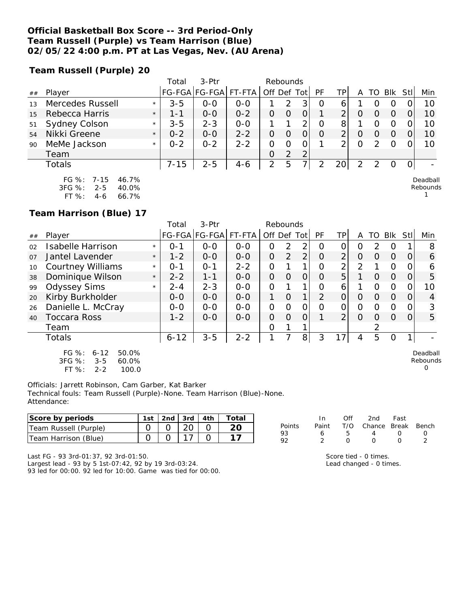### **Official Basketball Box Score -- 3rd Period-Only Team Russell (Purple) vs Team Harrison (Blue) 02/05/22 4:00 p.m. PT at Las Vegas, Nev. (AU Arena)**

**Team Russell (Purple) 20**

|    |                      |         | Total    | 3-Ptr         |         |          | Rebounds |     |    |     |   |    |            |     |     |
|----|----------------------|---------|----------|---------------|---------|----------|----------|-----|----|-----|---|----|------------|-----|-----|
| ## | Player               |         |          | FG-FGA FG-FGA | FT-FTA  | Off Def  |          | ∣ot | РF | TPI | Α | TO | <b>BIK</b> | Stl | Min |
| 13 | Mercedes Russell     | $\star$ | $3 - 5$  | $O-O$         | $0-0$   |          | 2        |     | Ő  | 6   |   |    |            |     | 10  |
| 15 | Rebecca Harris       | $\star$ | 1-1      | $0 - 0$       | $0 - 2$ |          |          |     |    |     |   |    |            |     | 10  |
| 51 | <b>Sydney Colson</b> | $\star$ | $3 - 5$  | $2 - 3$       | $0 - 0$ |          |          |     |    | 8   |   |    |            |     | 10  |
| 54 | Nikki Greene         | $\star$ | $0 - 2$  | $0 - 0$       | $2 - 2$ |          |          |     | O  |     |   |    |            |     | 10  |
| 90 | MeMe Jackson         | $\star$ | $0 - 2$  | $0 - 2$       | $2 - 2$ |          |          |     |    |     |   |    |            |     | 10  |
|    | Team                 |         |          |               |         | $\Omega$ | っ        | 2   |    |     |   |    |            |     |     |
|    | Totals               |         | $7 - 15$ | $2 - 5$       | 4-6     | 2        | 5        | ᄀ   |    |     |   |    |            |     |     |
|    |                      |         |          |               |         |          |          |     |    |     |   |    |            |     |     |

FG %: 7-15 46.7% 3FG %: 2-5 40.0% FT %: 4-6 66.7%

Deadball Rebounds

1

**Team Harrison (Blue) 17**

|                |                                                                                       |         | Total    | $3-$ Ptr      |         |                | Rebounds |                |                |                 |                |          |            |          |                         |
|----------------|---------------------------------------------------------------------------------------|---------|----------|---------------|---------|----------------|----------|----------------|----------------|-----------------|----------------|----------|------------|----------|-------------------------|
| ##             | Player                                                                                |         |          | FG-FGA FG-FGA | FT-FTA  | Off Def Tot    |          |                | <b>PF</b>      | TP <sub>1</sub> | A              | TO       | <b>Blk</b> | Stll     | Min                     |
| 02             | <b>Isabelle Harrison</b>                                                              | $\star$ | $O - 1$  | $0 - 0$       | $O - O$ | 0              | 2        | 2              | $\Omega$       | Ο               | O              | 2        | O          |          | 8                       |
| O <sub>7</sub> | Jantel Lavender                                                                       | $\star$ | $1 - 2$  | $0 - 0$       | $O - O$ | $\overline{O}$ | 2        | 2              | $\overline{O}$ | $\overline{2}$  | $\Omega$       | $\Omega$ | $\Omega$   | $\Omega$ | 6                       |
| 10             | <b>Courtney Williams</b>                                                              | $\star$ | $0 - 1$  | $O - 1$       | $2 - 2$ | $\Omega$       | 1        | 1              | $\Omega$       | っ               | $\overline{2}$ | 1        | 0          | 0        | 6                       |
| 38             | Dominique Wilson                                                                      | $\star$ | $2 - 2$  | $1 - 1$       | $0-0$   | $\overline{O}$ | $\Omega$ | 0              | $\Omega$       | 5               |                | 0        | $\Omega$   | 0        | 5                       |
| 99             | <b>Odyssey Sims</b>                                                                   | $\star$ | $2 - 4$  | $2 - 3$       | $0-0$   | $\Omega$       | 1        | 1              | $\Omega$       | 6               | 1              | O        | 0          | 0        | 10                      |
| 20             | Kirby Burkholder                                                                      |         | $0 - 0$  | $0 - 0$       | $0 - 0$ | 1              | $\Omega$ | 1              | $\overline{2}$ | 0               | $\Omega$       | $\Omega$ | $\Omega$   | $\Omega$ | 4                       |
| 26             | Danielle L. McCray                                                                    |         | $0-0$    | $0-0$         | $O-O$   | $\Omega$       | $\Omega$ | 0              | $\Omega$       | O               | $\Omega$       | $\Omega$ | $\Omega$   | 0        | 3                       |
| 40             | <b>Toccara Ross</b>                                                                   |         | $1 - 2$  | $O-O$         | $O-O$   | $\overline{O}$ | $\Omega$ | 0              | 1              | ↑               | $\Omega$       | $\Omega$ | $\Omega$   | 0        | 5                       |
|                | Team                                                                                  |         |          |               |         | $\Omega$       | 1        |                |                |                 |                | 2        |            |          |                         |
|                | Totals                                                                                |         | $6 - 12$ | $3 - 5$       | $2 - 2$ |                |          | 8 <sup>1</sup> | 3              | 17              | 4              | 5        | O          | 1        |                         |
|                | FG %:<br>50.0%<br>$6 - 12$<br>3FG %:<br>$3 - 5$<br>60.0%<br>FT %:<br>100.0<br>$2 - 2$ |         |          |               |         |                |          |                |                |                 |                |          |            |          | Deadbal<br>Rebound<br>0 |

Deadball Rebounds 0

Officials: Jarrett Robinson, Cam Garber, Kat Barker Technical fouls: Team Russell (Purple)-None. Team Harrison (Blue)-None. Attendance:

| Score by periods        | ∣st | 2nd. | 3rd          | 4th | otal |          |       |     |              | Fast  |       |
|-------------------------|-----|------|--------------|-----|------|----------|-------|-----|--------------|-------|-------|
| Team Russell (Purple)   |     |      | $\cap$<br>∠∪ |     | າດ   | Points   | Paint | T/O | $\cap$ hance | Break | Bench |
| Team Harrison<br>(Blue) |     |      |              |     |      | 93<br>oα |       |     |              |       |       |

Last FG - 93 3rd-01:37, 92 3rd-01:50. Largest lead - 93 by 5 1st-07:42, 92 by 19 3rd-03:24. 93 led for 00:00. 92 led for 10:00. Game was tied for 00:00. Score tied - 0 times. Lead changed - 0 times.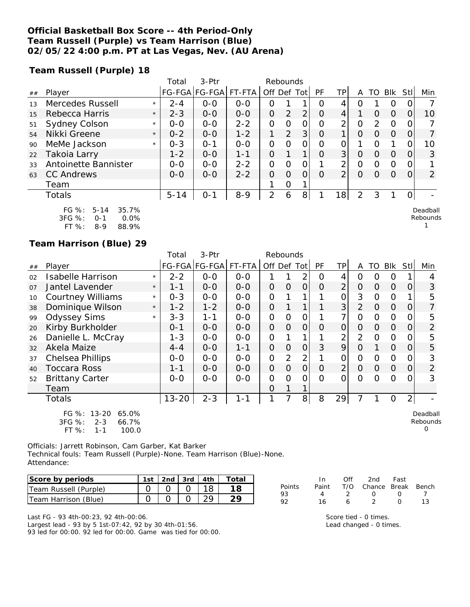### **Official Basketball Box Score -- 4th Period-Only Team Russell (Purple) vs Team Harrison (Blue) 02/05/22 4:00 p.m. PT at Las Vegas, Nev. (AU Arena)**

**Team Russell (Purple) 18**

|     |                                                                                                        |         | Total    | $3-Ptr$       |         | Rebounds       |                |                |          |                |                |               |            |          |                             |
|-----|--------------------------------------------------------------------------------------------------------|---------|----------|---------------|---------|----------------|----------------|----------------|----------|----------------|----------------|---------------|------------|----------|-----------------------------|
| ##  | Player                                                                                                 |         |          | FG-FGA FG-FGA | FT-FTA  | Off Def Tot    |                |                | PF       | TPI            | Α              | TO.           | <b>Blk</b> | Stl      | Min                         |
| 1.3 | Mercedes Russell                                                                                       | $\star$ | $2 - 4$  | $0 - 0$       | $0 - 0$ | 0              |                |                | Ω        | 4              | O              |               | 0          |          |                             |
| 15  | Rebecca Harris                                                                                         | $\star$ | $2 - 3$  | $0 - 0$       | $0 - 0$ | $\Omega$       | $\overline{2}$ | 2              | $\Omega$ | 4              |                | $\Omega$      | $\Omega$   | $\Omega$ | 10                          |
| 51  | Sydney Colson                                                                                          | $\star$ | $0 - 0$  | $0 - 0$       | $2 - 2$ | $\Omega$       | ∩              | 0              | $\Omega$ | 2              | 0              | $\mathcal{D}$ | $\Omega$   | $\Omega$ |                             |
| 54  | Nikki Greene                                                                                           | $\star$ | $0 - 2$  | $0 - 0$       | $1 - 2$ |                | 2              | 3              | $\Omega$ |                | $\Omega$       | $\Omega$      | $\Omega$   | $\Omega$ | 7                           |
| 90  | MeMe Jackson                                                                                           | $\star$ | $0 - 3$  | $O - 1$       | $0 - 0$ | 0              | $\Omega$       | 0              | $\Omega$ | O              |                | O             |            | O        | 10                          |
| 22  | Takoia Larry                                                                                           |         | $1 - 2$  | $0 - 0$       | $1 - 1$ | $\Omega$       |                | 1              | $\Omega$ | 3 <sup>1</sup> | $\Omega$       | $\Omega$      | $\Omega$   | $\Omega$ | 3                           |
| 33  | Antoinette Bannister                                                                                   |         | $0 - 0$  | $0-0$         | $2 - 2$ | $\Omega$       | $\Omega$       | 0              |          | 2              | 0              | $\Omega$      | $\Omega$   | $\Omega$ |                             |
| 63  | <b>CC Andrews</b>                                                                                      |         | $0 - 0$  | $0 - 0$       | $2 - 2$ | $\Omega$       | $\Omega$       | $\Omega$       | $\Omega$ | 2              | $\Omega$       | $\Omega$      | $\Omega$   | $\Omega$ | $\overline{2}$              |
|     | Team                                                                                                   |         |          |               |         |                | $\Omega$       |                |          |                |                |               |            |          |                             |
|     | Totals                                                                                                 |         | $5 - 14$ | $O - 1$       | $8 - 9$ | $\overline{2}$ | 6              | 8 <sub>1</sub> |          | 8              | $\overline{2}$ | 3             |            |          |                             |
|     | FG $\%$ :<br>$5 - 14$<br>35.7%<br>$\sim$ $\sim$ $\sim$ $\sim$<br>$\sim$ $\sim$ $\sim$<br>$\sim$ $\sim$ |         |          |               |         |                |                |                |          |                |                |               |            |          | Deadball<br>Dealers and all |

| 3FG %: | ი-1 | $0.0\%$ |
|--------|-----|---------|
| FT %:  | 8-9 | 88.9%   |

### **Team Harrison (Blue) 29**

|                |                                                                                       |         | Total     | 3-Ptr         |         | Rebounds       |                |                |                |                |                |                |                |                |                           |
|----------------|---------------------------------------------------------------------------------------|---------|-----------|---------------|---------|----------------|----------------|----------------|----------------|----------------|----------------|----------------|----------------|----------------|---------------------------|
| ##             | Player                                                                                |         |           | FG-FGA FG-FGA | FT-FTA  | Off Def Tot    |                |                | <b>PF</b>      | TP             | A              | TO             | Blk            | StII           | Min                       |
| 02             | Isabelle Harrison                                                                     | $\star$ | $2 - 2$   | $0 - 0$       | $0 - 0$ |                |                | 2              | O              | 4              | 0              | O              | O              |                | 4                         |
| O <sub>7</sub> | Jantel Lavender                                                                       | $\star$ | 1-1       | $O-O$         | $0 - 0$ | $\overline{O}$ | $\Omega$       | $\overline{O}$ | $\Omega$       | $\overline{2}$ | $\Omega$       | 0              | $\Omega$       | 0              | 3                         |
| 10             | <b>Courtney Williams</b>                                                              | $\star$ | $0 - 3$   | $0-0$         | $O-O$   | $\overline{O}$ |                | 1              |                | 0              | 3              | O              | $\Omega$       |                | 5                         |
| 38             | Dominique Wilson                                                                      | $\star$ | $1 - 2$   | $1 - 2$       | $0-0$   | $\overline{O}$ |                | $\mathbf{1}$   |                | 3 <sup>1</sup> | $\overline{2}$ | $\overline{O}$ | $\overline{O}$ | 0              | $\overline{7}$            |
| 99             | <b>Odyssey Sims</b>                                                                   | $\star$ | $3 - 3$   | $1 - 1$       | $0-0$   | $\overline{O}$ | $\overline{O}$ | $\mathbf{O}$   |                | $\overline{7}$ | $\overline{O}$ | $\Omega$       | $\overline{0}$ | 0              | 5                         |
| 20             | Kirby Burkholder                                                                      |         | $0 - 1$   | $0-0$         | $0-0$   | $\overline{O}$ | $\Omega$       | $\Omega$       | $\Omega$       | $\overline{O}$ | $\overline{O}$ | 0              | $\Omega$       | 0              | $\overline{2}$            |
| 26             | Danielle L. McCray                                                                    |         | $1 - 3$   | $0-0$         | $O-O$   | $\Omega$       |                |                |                | 2              | $\overline{2}$ | $\Omega$       | $\Omega$       | 0              | 5                         |
| 32             | Akela Maize                                                                           |         | $4 - 4$   | $0 - 0$       | $1 - 1$ | $\overline{O}$ | $\overline{O}$ | 0              | 3              | 9              | $\Omega$       |                | $\overline{O}$ | 0              | 5                         |
| 37             | Chelsea Phillips                                                                      |         | $0-0$     | $0 - 0$       | $0-0$   | $\overline{O}$ | 2              | 2              |                | 0              | $\Omega$       | O              | $\Omega$       | 0              | 3                         |
| 40             | <b>Toccara Ross</b>                                                                   |         | $1 - 1$   | $0-0$         | $0-0$   | $\overline{O}$ | $\overline{O}$ | $\overline{O}$ | $\overline{O}$ | $\overline{2}$ | $\overline{O}$ | $\overline{O}$ | $\overline{O}$ | $\overline{O}$ | 2                         |
| 52             | <b>Brittany Carter</b>                                                                |         | $0 - 0$   | $0 - 0$       | $0 - 0$ | $\overline{O}$ | $\Omega$       | 0              | $\Omega$       | $\overline{O}$ | $\Omega$       | $\Omega$       | $\circ$        | 0              | 3                         |
|                | Team                                                                                  |         |           |               |         | $\overline{O}$ | 1              | 1              |                |                |                |                |                |                |                           |
|                | <b>Totals</b>                                                                         |         | $13 - 20$ | $2 - 3$       | $1 - 1$ | 1              | 7              | 8              | 8              | 29             | 7              |                | $\Omega$       | $\overline{2}$ |                           |
|                | $13 - 20$<br>FG $%$ :<br>65.0%<br>3FG %:<br>$2 - 3$<br>66.7%<br>FT %:<br>100.0<br>1-1 |         |           |               |         |                |                |                |                |                |                |                |                |                | Deadball<br>Rebounds<br>Ω |

Officials: Jarrett Robinson, Cam Garber, Kat Barker Technical fouls: Team Russell (Purple)-None. Team Harrison (Blue)-None. Attendance:

| Score by periods            |  |  | 1st $\lfloor 2nd \rfloor$ 3rd $\lfloor 4th \rfloor$ Total |
|-----------------------------|--|--|-----------------------------------------------------------|
| Team Russell (Purple)       |  |  |                                                           |
| <b>Team Harrison (Blue)</b> |  |  |                                                           |

Last FG - 93 4th-00:23, 92 4th-00:06. Largest lead - 93 by 5 1st-07:42, 92 by 30 4th-01:56. 93 led for 00:00. 92 led for 00:00. Game was tied for 00:00.

|        | In In | Off | 2nd Fast                     |                  |     |
|--------|-------|-----|------------------------------|------------------|-----|
| Points |       |     | Paint T/O Chance Break Bench |                  |     |
| 93     | 4     | - 2 | $\bigcap$                    | $\left( \right)$ |     |
| ロフ     | 16    | 6   | $\mathcal{D}$                | $^{\prime}$      | 1 ? |

Score tied - 0 times. Lead changed - 0 times. Rebounds 1